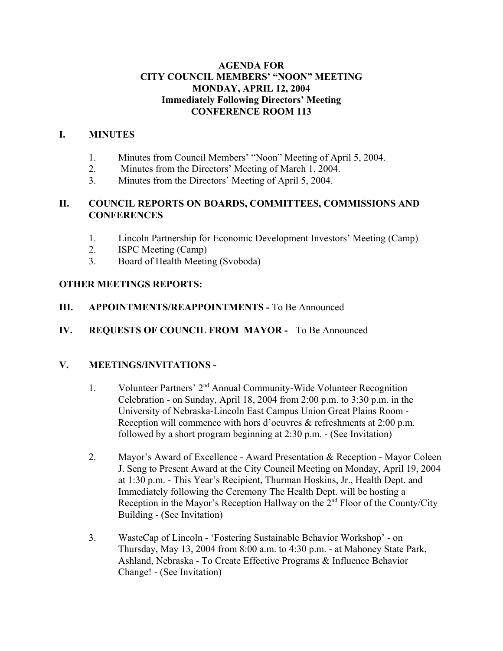#### **AGENDA FOR CITY COUNCIL MEMBERS' "NOON" MEETING MONDAY, APRIL 12, 2004 Immediately Following Directors' Meeting CONFERENCE ROOM 113**

#### **I. MINUTES**

- 1. Minutes from Council Members' "Noon" Meeting of April 5, 2004.
- 2. Minutes from the Directors' Meeting of March 1, 2004.
- 3. Minutes from the Directors' Meeting of April 5, 2004.

#### **II. COUNCIL REPORTS ON BOARDS, COMMITTEES, COMMISSIONS AND CONFERENCES**

- 1. Lincoln Partnership for Economic Development Investors' Meeting (Camp)
- 2. ISPC Meeting (Camp)
- 3. Board of Health Meeting (Svoboda)

### **OTHER MEETINGS REPORTS:**

### **III.** APPOINTMENTS/REAPPOINTMENTS - To Be Announced

**IV. REQUESTS OF COUNCIL FROM MAYOR -** To Be Announced

# **V. MEETINGS/INVITATIONS -**

- 1. Volunteer Partners' 2nd Annual Community-Wide Volunteer Recognition Celebration - on Sunday, April 18, 2004 from 2:00 p.m. to 3:30 p.m. in the University of Nebraska-Lincoln East Campus Union Great Plains Room - Reception will commence with hors d'oeuvres & refreshments at 2:00 p.m. followed by a short program beginning at 2:30 p.m. - (See Invitation)
- 2. Mayor's Award of Excellence Award Presentation & Reception Mayor Coleen J. Seng to Present Award at the City Council Meeting on Monday, April 19, 2004 at 1:30 p.m. - This Year's Recipient, Thurman Hoskins, Jr., Health Dept. and Immediately following the Ceremony The Health Dept. will be hosting a Reception in the Mayor's Reception Hallway on the  $2<sup>nd</sup>$  Floor of the County/City Building - (See Invitation)
- 3. WasteCap of Lincoln 'Fostering Sustainable Behavior Workshop' on Thursday, May 13, 2004 from 8:00 a.m. to 4:30 p.m. - at Mahoney State Park, Ashland, Nebraska - To Create Effective Programs & Influence Behavior Change! - (See Invitation)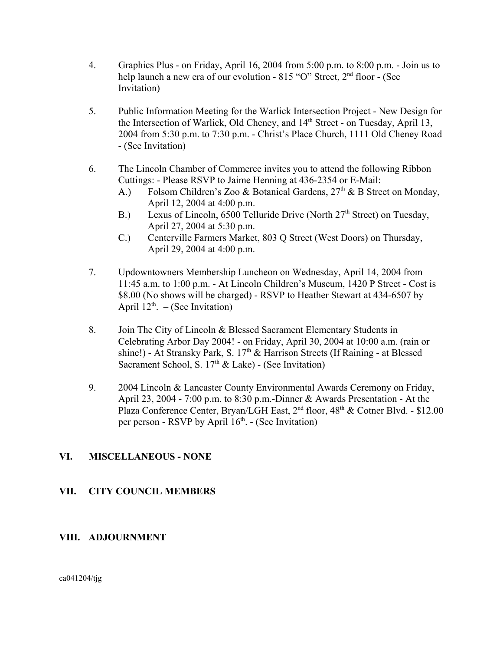- 4. Graphics Plus on Friday, April 16, 2004 from 5:00 p.m. to 8:00 p.m. Join us to help launch a new era of our evolution - 815 "O" Street, 2<sup>nd</sup> floor - (See Invitation)
- 5. Public Information Meeting for the Warlick Intersection Project New Design for the Intersection of Warlick, Old Cheney, and 14<sup>th</sup> Street - on Tuesday, April 13, 2004 from 5:30 p.m. to 7:30 p.m. - Christ's Place Church, 1111 Old Cheney Road - (See Invitation)
- 6. The Lincoln Chamber of Commerce invites you to attend the following Ribbon Cuttings: - Please RSVP to Jaime Henning at 436-2354 or E-Mail:
	- A.) Folsom Children's Zoo & Botanical Gardens,  $27<sup>th</sup>$  & B Street on Monday, April 12, 2004 at 4:00 p.m.
	- B.) Lexus of Lincoln, 6500 Telluride Drive (North  $27<sup>th</sup>$  Street) on Tuesday, April 27, 2004 at 5:30 p.m.
	- C.) Centerville Farmers Market, 803 Q Street (West Doors) on Thursday, April 29, 2004 at 4:00 p.m.
- 7. Updowntowners Membership Luncheon on Wednesday, April 14, 2004 from 11:45 a.m. to 1:00 p.m. - At Lincoln Children's Museum, 1420 P Street - Cost is \$8.00 (No shows will be charged) - RSVP to Heather Stewart at 434-6507 by April  $12^{th}$ . – (See Invitation)
- 8. Join The City of Lincoln & Blessed Sacrament Elementary Students in Celebrating Arbor Day 2004! - on Friday, April 30, 2004 at 10:00 a.m. (rain or shine!) - At Stransky Park, S.  $17<sup>th</sup>$  & Harrison Streets (If Raining - at Blessed Sacrament School, S.  $17<sup>th</sup>$  & Lake) - (See Invitation)
- 9. 2004 Lincoln & Lancaster County Environmental Awards Ceremony on Friday, April 23, 2004 - 7:00 p.m. to 8:30 p.m.-Dinner & Awards Presentation - At the Plaza Conference Center, Bryan/LGH East, 2<sup>nd</sup> floor, 48<sup>th</sup> & Cotner Blvd. - \$12.00 per person - RSVP by April  $16<sup>th</sup>$ . - (See Invitation)

# **VI. MISCELLANEOUS - NONE**

#### **VII. CITY COUNCIL MEMBERS**

#### **VIII. ADJOURNMENT**

ca041204/tjg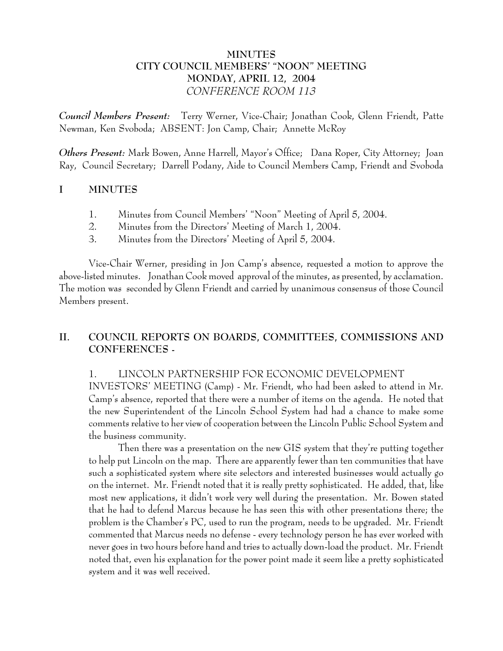### **MINUTES CITY COUNCIL MEMBERS' "NOON" MEETING MONDAY, APRIL 12, 2004** *CONFERENCE ROOM 113*

*Council Members Present:* Terry Werner, Vice-Chair; Jonathan Cook, Glenn Friendt, Patte Newman, Ken Svoboda; ABSENT: Jon Camp, Chair; Annette McRoy

*Others Present:* Mark Bowen, Anne Harrell, Mayor's Office; Dana Roper, City Attorney; Joan Ray, Council Secretary; Darrell Podany, Aide to Council Members Camp, Friendt and Svoboda

### **I MINUTES**

- 1. Minutes from Council Members' "Noon" Meeting of April 5, 2004.
- 2. Minutes from the Directors' Meeting of March 1, 2004.
- 3. Minutes from the Directors' Meeting of April 5, 2004.

Vice-Chair Werner, presiding in Jon Camp's absence, requested a motion to approve the above-listed minutes. Jonathan Cook moved approval of the minutes, as presented, by acclamation. The motion was seconded by Glenn Friendt and carried by unanimous consensus of those Council Members present.

# **II. COUNCIL REPORTS ON BOARDS, COMMITTEES, COMMISSIONS AND CONFERENCES -**

1. LINCOLN PARTNERSHIP FOR ECONOMIC DEVELOPMENT INVESTORS' MEETING (Camp) - Mr. Friendt, who had been asked to attend in Mr. Camp's absence, reported that there were a number of items on the agenda. He noted that the new Superintendent of the Lincoln School System had had a chance to make some comments relative to her view of cooperation between the Lincoln Public School System and the business community.

Then there was a presentation on the new GIS system that they're putting together to help put Lincoln on the map. There are apparently fewer than ten communities that have such a sophisticated system where site selectors and interested businesses would actually go on the internet. Mr. Friendt noted that it is really pretty sophisticated. He added, that, like most new applications, it didn't work very well during the presentation. Mr. Bowen stated that he had to defend Marcus because he has seen this with other presentations there; the problem is the Chamber's PC, used to run the program, needs to be upgraded. Mr. Friendt commented that Marcus needs no defense - every technology person he has ever worked with never goes in two hours before hand and tries to actually down-load the product. Mr. Friendt noted that, even his explanation for the power point made it seem like a pretty sophisticated system and it was well received.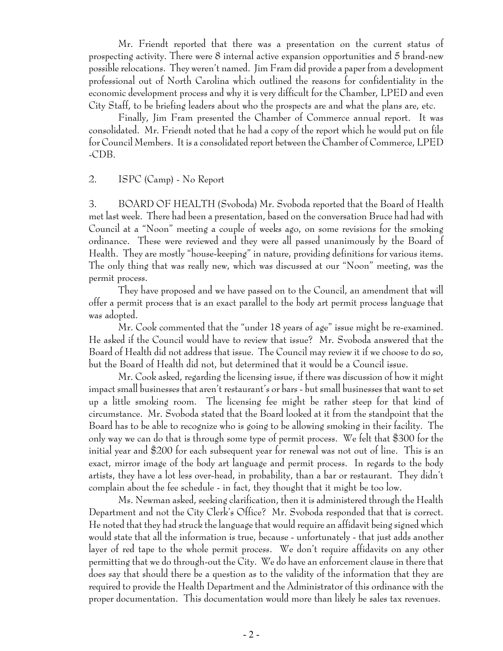Mr. Friendt reported that there was a presentation on the current status of prospecting activity. There were 8 internal active expansion opportunities and 5 brand-new possible relocations. They weren't named. Jim Fram did provide a paper from a development professional out of North Carolina which outlined the reasons for confidentiality in the economic development process and why it is very difficult for the Chamber, LPED and even City Staff, to be briefing leaders about who the prospects are and what the plans are, etc.

Finally, Jim Fram presented the Chamber of Commerce annual report. It was consolidated. Mr. Friendt noted that he had a copy of the report which he would put on file for Council Members. It is a consolidated report between the Chamber of Commerce, LPED -CDB.

#### 2. ISPC (Camp) - No Report

3. BOARD OF HEALTH (Svoboda) Mr. Svoboda reported that the Board of Health met last week. There had been a presentation, based on the conversation Bruce had had with Council at a "Noon" meeting a couple of weeks ago, on some revisions for the smoking ordinance. These were reviewed and they were all passed unanimously by the Board of Health. They are mostly "house-keeping" in nature, providing definitions for various items. The only thing that was really new, which was discussed at our "Noon" meeting, was the permit process.

They have proposed and we have passed on to the Council, an amendment that will offer a permit process that is an exact parallel to the body art permit process language that was adopted.

Mr. Cook commented that the "under 18 years of age" issue might be re-examined. He asked if the Council would have to review that issue? Mr. Svoboda answered that the Board of Health did not address that issue. The Council may review it if we choose to do so, but the Board of Health did not, but determined that it would be a Council issue.

Mr. Cook asked, regarding the licensing issue, if there was discussion of how it might impact small businesses that aren't restaurant's or bars - but small businesses that want to set up a little smoking room. The licensing fee might be rather steep for that kind of circumstance. Mr. Svoboda stated that the Board looked at it from the standpoint that the Board has to be able to recognize who is going to be allowing smoking in their facility. The only way we can do that is through some type of permit process. We felt that \$300 for the initial year and \$200 for each subsequent year for renewal was not out of line. This is an exact, mirror image of the body art language and permit process. In regards to the body artists, they have a lot less over-head, in probability, than a bar or restaurant. They didn't complain about the fee schedule - in fact, they thought that it might be too low.

Ms. Newman asked, seeking clarification, then it is administered through the Health Department and not the City Clerk's Office? Mr. Svoboda responded that that is correct. He noted that they had struck the language that would require an affidavit being signed which would state that all the information is true, because - unfortunately - that just adds another layer of red tape to the whole permit process. We don't require affidavits on any other permitting that we do through-out the City. We do have an enforcement clause in there that does say that should there be a question as to the validity of the information that they are required to provide the Health Department and the Administrator of this ordinance with the proper documentation. This documentation would more than likely be sales tax revenues.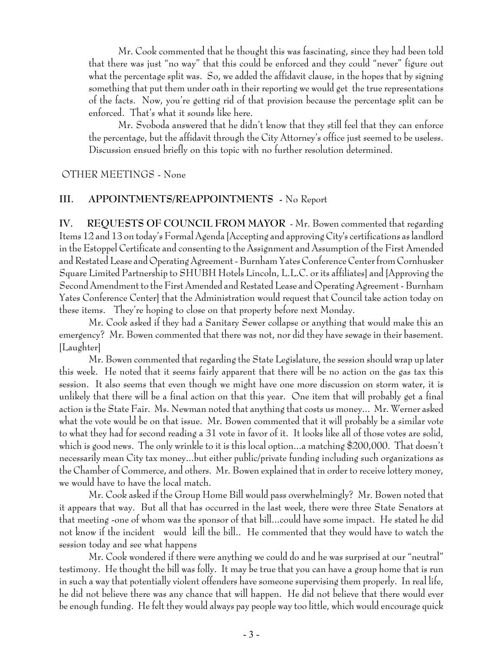Mr. Cook commented that he thought this was fascinating, since they had been told that there was just "no way" that this could be enforced and they could "never" figure out what the percentage split was. So, we added the affidavit clause, in the hopes that by signing something that put them under oath in their reporting we would get the true representations of the facts. Now, you're getting rid of that provision because the percentage split can be enforced. That's what it sounds like here.

Mr. Svoboda answered that he didn't know that they still feel that they can enforce the percentage, but the affidavit through the City Attorney's office just seemed to be useless. Discussion ensued briefly on this topic with no further resolution determined.

OTHER MEETINGS - None

#### **III. APPOINTMENTS/REAPPOINTMENTS -** No Report

**IV. REQUESTS OF COUNCIL FROM MAYOR** - Mr. Bowen commented that regarding Items 12 and 13 on today's Formal Agenda [Accepting and approving City's certifications as landlord in the Estoppel Certificate and consenting to the Assignment and Assumption of the First Amended and Restated Lease and Operating Agreement - Burnham Yates Conference Center from Cornhusker Square Limited Partnership to SHUBH Hotels Lincoln, L.L.C. or its affiliates] and [Approving the Second Amendment to the First Amended and Restated Lease and Operating Agreement - Burnham Yates Conference Center] that the Administration would request that Council take action today on these items. They're hoping to close on that property before next Monday.

Mr. Cook asked if they had a Sanitary Sewer collapse or anything that would make this an emergency? Mr. Bowen commented that there was not, nor did they have sewage in their basement. [Laughter]

Mr. Bowen commented that regarding the State Legislature, the session should wrap up later this week. He noted that it seems fairly apparent that there will be no action on the gas tax this session. It also seems that even though we might have one more discussion on storm water, it is unlikely that there will be a final action on that this year. One item that will probably get a final action is the State Fair. Ms. Newman noted that anything that costs us money... Mr. Werner asked what the vote would be on that issue. Mr. Bowen commented that it will probably be a similar vote to what they had for second reading a 31 vote in favor of it. It looks like all of those votes are solid, which is good news. The only wrinkle to it is this local option...a matching \$200,000. That doesn't necessarily mean City tax money...but either public/private funding including such organizations as the Chamber of Commerce, and others. Mr. Bowen explained that in order to receive lottery money, we would have to have the local match.

Mr. Cook asked if the Group Home Bill would pass overwhelmingly? Mr. Bowen noted that it appears that way. But all that has occurred in the last week, there were three State Senators at that meeting -one of whom was the sponsor of that bill...could have some impact. He stated he did not know if the incident would kill the bill.. He commented that they would have to watch the session today and see what happens

Mr. Cook wondered if there were anything we could do and he was surprised at our "neutral" testimony. He thought the bill was folly. It may be true that you can have a group home that is run in such a way that potentially violent offenders have someone supervising them properly. In real life, he did not believe there was any chance that will happen. He did not believe that there would ever be enough funding. He felt they would always pay people way too little, which would encourage quick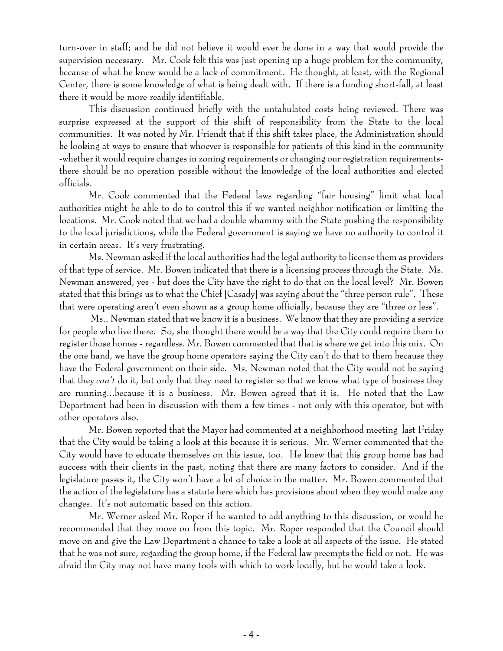turn-over in staff; and he did not believe it would ever be done in a way that would provide the supervision necessary. Mr. Cook felt this was just opening up a huge problem for the community, because of what he knew would be a lack of commitment. He thought, at least, with the Regional Center, there is some knowledge of what is being dealt with. If there is a funding short-fall, at least there it would be more readily identifiable.

This discussion continued briefly with the untabulated costs being reviewed. There was surprise expressed at the support of this shift of responsibility from the State to the local communities. It was noted by Mr. Friendt that if this shift takes place, the Administration should be looking at ways to ensure that whoever is responsible for patients of this kind in the community -whether it would require changes in zoning requirements or changing our registration requirementsthere should be no operation possible without the knowledge of the local authorities and elected officials.

Mr. Cook commented that the Federal laws regarding "fair housing" limit what local authorities might be able to do to control this if we wanted neighbor notification or limiting the locations. Mr. Cook noted that we had a double whammy with the State pushing the responsibility to the local jurisdictions, while the Federal government is saying we have no authority to control it in certain areas. It's very frustrating.

Ms. Newman asked if the local authorities had the legal authority to license them as providers of that type of service. Mr. Bowen indicated that there is a licensing process through the State. Ms. Newman answered, yes - but does the City have the right to do that on the local level? Mr. Bowen stated that this brings us to what the Chief [Casady] was saying about the "three person rule". These that were operating aren't even shown as a group home officially, because they are "three or less".

 Ms.. Newman stated that we know it is a business. We know that they are providing a service for people who live there. So, she thought there would be a way that the City could require them to register those homes - regardless. Mr. Bowen commented that that is where we get into this mix. On the one hand, we have the group home operators saying the City can't do that to them because they have the Federal government on their side. Ms. Newman noted that the City would not be saying that they *can't* do it, but only that they need to register so that we know what type of business they are running...because it is a business. Mr. Bowen agreed that it is. He noted that the Law Department had been in discussion with them a few times - not only with this operator, but with other operators also.

Mr. Bowen reported that the Mayor had commented at a neighborhood meeting last Friday that the City would be taking a look at this because it is serious. Mr. Werner commented that the City would have to educate themselves on this issue, too. He knew that this group home has had success with their clients in the past, noting that there are many factors to consider. And if the legislature passes it, the City won't have a lot of choice in the matter. Mr. Bowen commented that the action of the legislature has a statute here which has provisions about when they would make any changes. It's not automatic based on this action.

Mr. Werner asked Mr. Roper if he wanted to add anything to this discussion, or would he recommended that they move on from this topic. Mr. Roper responded that the Council should move on and give the Law Department a chance to take a look at all aspects of the issue. He stated that he was not sure, regarding the group home, if the Federal law preempts the field or not. He was afraid the City may not have many tools with which to work locally, but he would take a look.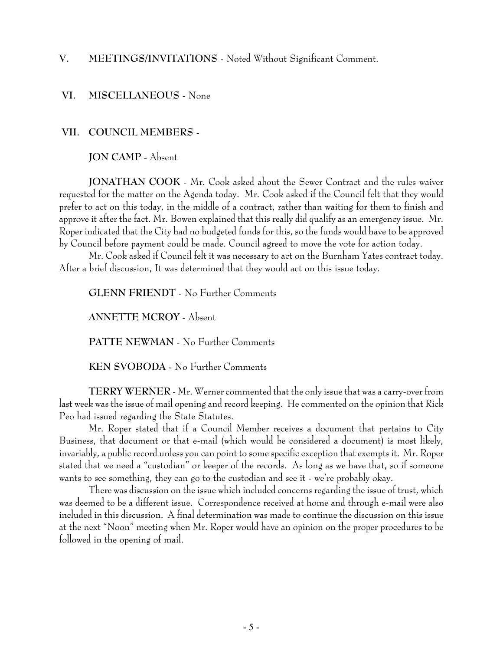# **V. MEETINGS/INVITATIONS** - Noted Without Significant Comment.

#### **VI. MISCELLANEOUS -** None

#### **VII. COUNCIL MEMBERS -**

**JON CAMP** - Absent

**JONATHAN COOK** - Mr. Cook asked about the Sewer Contract and the rules waiver requested for the matter on the Agenda today. Mr. Cook asked if the Council felt that they would prefer to act on this today, in the middle of a contract, rather than waiting for them to finish and approve it after the fact. Mr. Bowen explained that this really did qualify as an emergency issue. Mr. Roper indicated that the City had no budgeted funds for this, so the funds would have to be approved by Council before payment could be made. Council agreed to move the vote for action today.

Mr. Cook asked if Council felt it was necessary to act on the Burnham Yates contract today. After a brief discussion, It was determined that they would act on this issue today.

**GLENN FRIENDT** - No Further Comments

**ANNETTE MCROY** - Absent

**PATTE NEWMAN** - No Further Comments

**KEN SVOBODA** - No Further Comments

**TERRY WERNER** - Mr. Werner commented that the only issue that was a carry-over from last week was the issue of mail opening and record keeping. He commented on the opinion that Rick Peo had issued regarding the State Statutes.

Mr. Roper stated that if a Council Member receives a document that pertains to City Business, that document or that e-mail (which would be considered a document) is most likely, invariably, a public record unless you can point to some specific exception that exempts it. Mr. Roper stated that we need a "custodian" or keeper of the records. As long as we have that, so if someone wants to see something, they can go to the custodian and see it - we're probably okay.

There was discussion on the issue which included concerns regarding the issue of trust, which was deemed to be a different issue. Correspondence received at home and through e-mail were also included in this discussion. A final determination was made to continue the discussion on this issue at the next "Noon" meeting when Mr. Roper would have an opinion on the proper procedures to be followed in the opening of mail.